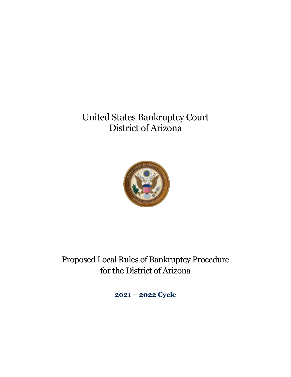# United States Bankruptcy Court District of Arizona



Proposed Local Rules of Bankruptcy Procedure for the District of Arizona

**2021 – 2022 Cycle**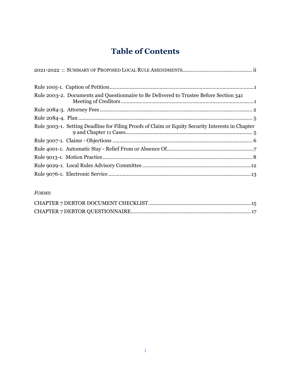## **Table of Contents**

| Rule 2003-2. Documents and Questionnaire to Be Delivered to Trustee Before Section 341           |  |
|--------------------------------------------------------------------------------------------------|--|
|                                                                                                  |  |
|                                                                                                  |  |
| Rule 3003-1. Setting Deadline for Filing Proofs of Claim or Equity Security Interests in Chapter |  |
|                                                                                                  |  |
|                                                                                                  |  |
|                                                                                                  |  |
|                                                                                                  |  |
|                                                                                                  |  |
|                                                                                                  |  |

#### *FORMS*: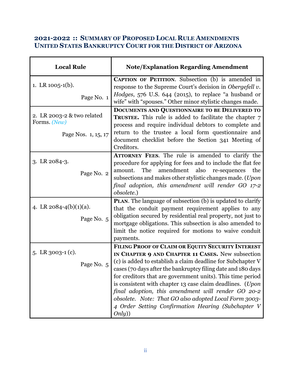### <span id="page-2-0"></span>**2021-2022 :: SUMMARY OF PROPOSED LOCAL RULE AMENDMENTS UNITED STATES BANKRUPTCY COURT FOR THE DISTRICT OF ARIZONA**

| <b>Local Rule</b>                                                 | <b>Note/Explanation Regarding Amendment</b>                                                                                                                                                                                                                                                                                                                                                                                                                                                                                                    |
|-------------------------------------------------------------------|------------------------------------------------------------------------------------------------------------------------------------------------------------------------------------------------------------------------------------------------------------------------------------------------------------------------------------------------------------------------------------------------------------------------------------------------------------------------------------------------------------------------------------------------|
| 1. LR $1005-1(b)$ .<br>Page No. 1                                 | <b>CAPTION OF PETITION.</b> Subsection (b) is amended in<br>response to the Supreme Court's decision in Obergefell v.<br>Hodges, 576 U.S. 644 (2015), to replace "a husband or<br>wife" with "spouses." Other minor stylistic changes made.                                                                                                                                                                                                                                                                                                    |
| 2. LR 2003-2 & two related<br>Forms. (New)<br>Page Nos. 1, 15, 17 | DOCUMENTS AND QUESTIONNAIRE TO BE DELIVERED TO<br>TRUSTEE. This rule is added to facilitate the chapter 7<br>process and require individual debtors to complete and<br>return to the trustee a local form questionnaire and<br>document checklist before the Section 341 Meeting of<br>Creditors.                                                                                                                                                                                                                                              |
| $3.$ LR $2084-3.$<br>Page No. 2                                   | ATTORNEY FEES. The rule is amended to clarify the<br>procedure for applying for fees and to include the flat fee<br>The<br>amendment<br>also<br>amount.<br>re-sequences<br>the<br>subsections and makes other stylistic changes made. (Upon<br>final adoption, this amendment will render GO 17-2<br>obsolete.)                                                                                                                                                                                                                                |
| 4. LR $2084-4(b)(1)(a)$ .<br>Page No. 5                           | PLAN. The language of subsection (b) is updated to clarify<br>that the conduit payment requirement applies to any<br>obligation secured by residential real property, not just to<br>mortgage obligations. This subsection is also amended to<br>limit the notice required for motions to waive conduit<br>payments.                                                                                                                                                                                                                           |
| 5. LR $3003-1$ (c).<br>Page No. 5                                 | FILING PROOF OF CLAIM OR EQUITY SECURITY INTEREST<br>IN CHAPTER 9 AND CHAPTER 11 CASES. New subsection<br>(c) is added to establish a claim deadline for Subchapter V<br>cases (70 days after the bankruptcy filing date and 180 days<br>for creditors that are government units). This time period<br>is consistent with chapter 13 case claim deadlines. (Upon<br>final adoption, this amendment will render GO 20-2<br>obsolete. Note: That GO also adopted Local Form 3003-<br>4 Order Setting Confirmation Hearing (Subchapter V<br>Only) |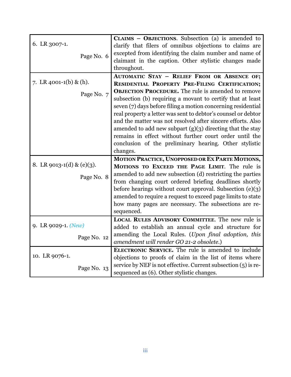| 6. LR 3007-1.             | CLAIMS $-$ OBJECTIONS. Subsection (a) is amended to<br>clarify that filers of omnibus objections to claims are             |
|---------------------------|----------------------------------------------------------------------------------------------------------------------------|
|                           | excepted from identifying the claim number and name of                                                                     |
| Page No. 6                | claimant in the caption. Other stylistic changes made                                                                      |
|                           | throughout.                                                                                                                |
|                           | <b>AUTOMATIC STAY - RELIEF FROM OR ABSENCE OF;</b>                                                                         |
| 7. LR 4001-1(b) & (h).    | RESIDENTIAL PROPERTY PRE-FILING CERTIFICATION;                                                                             |
|                           | <b>OBJECTION PROCEDURE.</b> The rule is amended to remove                                                                  |
| Page No. 7                | subsection (b) requiring a movant to certify that at least                                                                 |
|                           | seven (7) days before filing a motion concerning residential                                                               |
|                           | real property a letter was sent to debtor's counsel or debtor                                                              |
|                           | and the matter was not resolved after sincere efforts. Also                                                                |
|                           | amended to add new subpart $(g)(3)$ directing that the stay                                                                |
|                           | remains in effect without further court order until the                                                                    |
|                           | conclusion of the preliminary hearing. Other stylistic                                                                     |
|                           | changes.                                                                                                                   |
|                           | MOTION PRACTICE, UNOPPOSED OR EX PARTE MOTIONS,                                                                            |
| 8. LR 9013-1(d) & (e)(3). | MOTIONS TO EXCEED THE PAGE LIMIT. The rule is                                                                              |
|                           | amended to add new subsection (d) restricting the parties                                                                  |
| Page No. 8                | from changing court ordered briefing deadlines shortly                                                                     |
|                           |                                                                                                                            |
|                           |                                                                                                                            |
|                           | before hearings without court approval. Subsection $(e)(3)$                                                                |
|                           | amended to require a request to exceed page limits to state                                                                |
|                           | how many pages are necessary. The subsections are re-                                                                      |
|                           | sequenced.                                                                                                                 |
| 9. LR 9029-1. (New)       | <b>LOCAL RULES ADVISORY COMMITTEE.</b> The new rule is                                                                     |
|                           | added to establish an annual cycle and structure for                                                                       |
| Page No. 12               | amending the Local Rules. (Upon final adoption, this                                                                       |
|                           | amendment will render GO 21-2 obsolete.)                                                                                   |
| 10. LR 9076-1.            | ELECTRONIC SERVICE. The rule is amended to include                                                                         |
| Page No. 13               | objections to proofs of claim in the list of items where<br>service by NEF is not effective. Current subsection (5) is re- |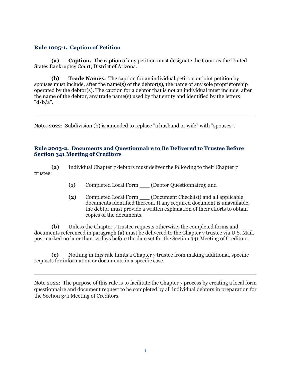#### <span id="page-4-0"></span>**Rule 1005-1. Caption of Petition**

**(a) Caption.** The caption of any petition must designate the Court as the United States Bankruptcy Court, District of Arizona.

**(b) Trade Names.** The caption for an individual petition or joint petition by spouses must include, after the name(s) of the debtor(s), the name of any sole proprietorship operated by the debtor(s). The caption for a debtor that is not an individual must include, after the name of the debtor, any trade name(s) used by that entity and identified by the letters " $d/b/a$ ".

Notes 2022: Subdivision (b) is amended to replace "a husband or wife" with "spouses".

#### <span id="page-4-1"></span>**Rule 2003-2. Documents and Questionnaire to Be Delivered to Trustee Before Section 341 Meeting of Creditors**

**(a)** Individual Chapter 7 debtors must deliver the following to their Chapter 7 trustee:

- **(1)** Completed Local Form \_\_\_ (Debtor Questionnaire); and
- **(2)** Completed Local Form \_\_\_ (Document Checklist) and all applicable documents identified thereon. If any required document is unavailable, the debtor must provide a written explanation of their efforts to obtain copies of the documents.

**(b)** Unless the Chapter 7 trustee requests otherwise, the completed forms and documents referenced in paragraph (a) must be delivered to the Chapter 7 trustee via U.S. Mail, postmarked no later than 14 days before the date set for the Section 341 Meeting of Creditors.

**(c)** Nothing in this rule limits a Chapter 7 trustee from making additional, specific requests for information or documents in a specific case.

Note 2022: The purpose of this rule is to facilitate the Chapter 7 process by creating a local form questionnaire and document request to be completed by all individual debtors in preparation for the Section 341 Meeting of Creditors.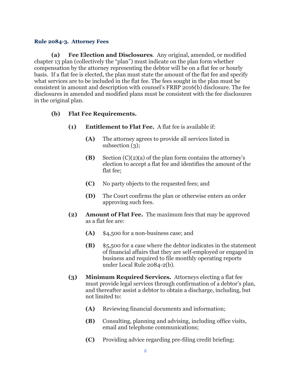#### <span id="page-5-0"></span>**Rule 2084-3. Attorney Fees**

**(a) Fee Election and Disclosures**. Any original, amended, or modified chapter 13 plan (collectively the "plan") must indicate on the plan form whether compensation by the attorney representing the debtor will be on a flat fee or hourly basis. If a flat fee is elected, the plan must state the amount of the flat fee and specify what services are to be included in the flat fee. The fees sought in the plan must be consistent in amount and description with counsel's FRBP 2016(b) disclosure. The fee disclosures in amended and modified plans must be consistent with the fee disclosures in the original plan.

#### **(b) Flat Fee Requirements.**

- **(1) Entitlement to Flat Fee.** A flat fee is available if:
	- **(A)** The attorney agrees to provide all services listed in subsection (3);
	- **(B)** Section (C)(2)(a) of the plan form contains the attorney's election to accept a flat fee and identifies the amount of the flat fee;
	- **(C)** No party objects to the requested fees; and
	- **(D)** The Court confirms the plan or otherwise enters an order approving such fees.
- **(2) Amount of Flat Fee.** The maximum fees that may be approved as a flat fee are:
	- **(A)** \$4,500 for a non-business case; and
	- **(B)** \$5,500 for a case where the debtor indicates in the statement of financial affairs that they are self-employed or engaged in business and required to file monthly operating reports under Local Rule 2084-2(b).
- **(3) Minimum Required Services.** Attorneys electing a flat fee must provide legal services through confirmation of a debtor's plan, and thereafter assist a debtor to obtain a discharge, including, but not limited to:
	- **(A)** Reviewing financial documents and information;
	- **(B)** Consulting, planning and advising, including office visits, email and telephone communications;
	- **(C)** Providing advice regarding pre-filing credit briefing;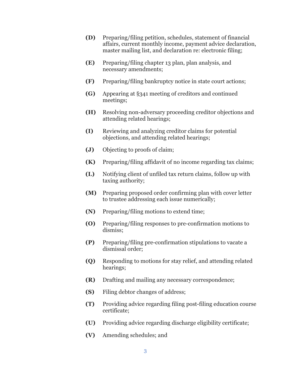- **(D)** Preparing/filing petition, schedules, statement of financial affairs, current monthly income, payment advice declaration, master mailing list, and declaration re: electronic filing;
- **(E)** Preparing/filing chapter 13 plan, plan analysis, and necessary amendments;
- **(F)** Preparing/filing bankruptcy notice in state court actions;
- **(G)** Appearing at §341 meeting of creditors and continued meetings;
- **(H)** Resolving non-adversary proceeding creditor objections and attending related hearings;
- **(I)** Reviewing and analyzing creditor claims for potential objections, and attending related hearings;
- **(J)** Objecting to proofs of claim;
- **(K)** Preparing/filing affidavit of no income regarding tax claims;
- **(L)** Notifying client of unfiled tax return claims, follow up with taxing authority;
- **(M)** Preparing proposed order confirming plan with cover letter to trustee addressing each issue numerically;
- **(N)** Preparing/filing motions to extend time;
- **(O)** Preparing/filing responses to pre-confirmation motions to dismiss;
- **(P)** Preparing/filing pre-confirmation stipulations to vacate a dismissal order;
- **(Q)** Responding to motions for stay relief, and attending related hearings;
- **(R)** Drafting and mailing any necessary correspondence;
- **(S)** Filing debtor changes of address;
- **(T)** Providing advice regarding filing post-filing education course certificate;
- **(U)** Providing advice regarding discharge eligibility certificate;
- **(V)** Amending schedules; and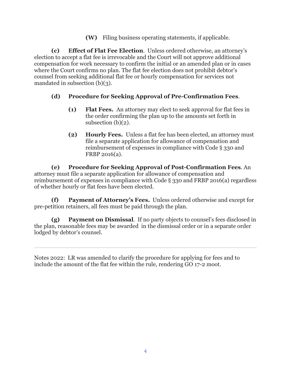**(W)** Filing business operating statements, if applicable.

**(c) Effect of Flat Fee Election**. Unless ordered otherwise, an attorney's election to accept a flat fee is irrevocable and the Court will not approve additional compensation for work necessary to confirm the initial or an amended plan or in cases where the Court confirms no plan. The flat fee election does not prohibit debtor's counsel from seeking additional flat fee or hourly compensation for services not mandated in subsection (b)(3).

#### **(d) Procedure for Seeking Approval of Pre-Confirmation Fees**.

- **(1) Flat Fees.** An attorney may elect to seek approval for flat fees in the order confirming the plan up to the amounts set forth in subsection (b)(2).
- **(2) Hourly Fees.** Unless a flat fee has been elected, an attorney must file a separate application for allowance of compensation and reimbursement of expenses in compliance with Code § 330 and FRBP 2016(a).

**(e) Procedure for Seeking Approval of Post-Confirmation Fees**. An attorney must file a separate application for allowance of compensation and reimbursement of expenses in compliance with Code § 330 and FRBP 2016(a) regardless of whether hourly or flat fees have been elected.

**(f) Payment of Attorney's Fees.** Unless ordered otherwise and except for pre-petition retainers, all fees must be paid through the plan.

**(g) Payment on Dismissal**. If no party objects to counsel's fees disclosed in the plan, reasonable fees may be awarded in the dismissal order or in a separate order lodged by debtor's counsel.

Notes 2022: LR was amended to clarify the procedure for applying for fees and to include the amount of the flat fee within the rule, rendering GO 17-2 moot.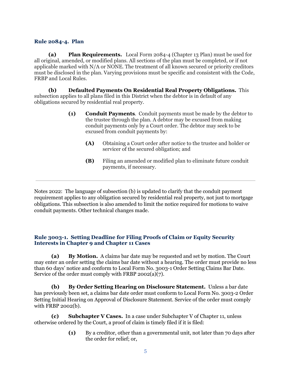#### <span id="page-8-0"></span>**Rule 2084-4. Plan**

**(a) Plan Requirements.** Local Form 2084-4 (Chapter 13 Plan) must be used for all original, amended, or modified plans. All sections of the plan must be completed, or if not applicable marked with N/A or NONE. The treatment of all known secured or priority creditors must be disclosed in the plan. Varying provisions must be specific and consistent with the Code, FRBP and Local Rules.

**(b) Defaulted Payments On Residential Real Property Obligations.** This subsection applies to all plans filed in this District when the debtor is in default of any obligations secured by residential real property.

- **(1) Conduit Payments**. Conduit payments must be made by the debtor to the trustee through the plan. A debtor may be excused from making conduit payments only by a Court order. The debtor may seek to be excused from conduit payments by:
	- **(A)** Obtaining a Court order after notice to the trustee and holder or servicer of the secured obligation; and
	- **(B)** Filing an amended or modified plan to eliminate future conduit payments, if necessary.

Notes 2022: The language of subsection (b) is updated to clarify that the conduit payment requirement applies to any obligation secured by residential real property, not just to mortgage obligations. This subsection is also amended to limit the notice required for motions to waive conduit payments. Other technical changes made.

#### <span id="page-8-1"></span>**Rule 3003-1. Setting Deadline for Filing Proofs of Claim or Equity Security Interests in Chapter 9 and Chapter 11 Cases**

**(a) By Motion.** A claims bar date may be requested and set by motion. The Court may enter an order setting the claims bar date without a hearing. The order must provide no less than 60 days' notice and conform to Local Form No. 3003-1 Order Setting Claims Bar Date. Service of the order must comply with FRBP 2002(a)(7).

**(b) By Order Setting Hearing on Disclosure Statement.** Unless a bar date has previously been set, a claims bar date order must conform to Local Form No. 3003-2 Order Setting Initial Hearing on Approval of Disclosure Statement. Service of the order must comply with FRBP 2002(b).

**(c) Subchapter V Cases.** In a case under Subchapter V of Chapter 11, unless otherwise ordered by the Court, a proof of claim is timely filed if it is filed:

> **(1)** By a creditor, other than a governmental unit, not later than 70 days after the order for relief; or,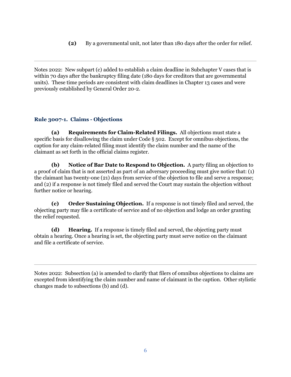**(2)** By a governmental unit, not later than 180 days after the order for relief.

Notes 2022: New subpart (c) added to establish a claim deadline in Subchapter V cases that is within 70 days after the bankruptcy filing date (180 days for creditors that are governmental units). These time periods are consistent with claim deadlines in Chapter 13 cases and were previously established by General Order 20-2.

#### <span id="page-9-0"></span>**Rule 3007-1. Claims - Objections**

 **(a) Requirements for Claim-Related Filings.** All objections must state a specific basis for disallowing the claim under Code § 502. Except for omnibus objections, the caption for any claim-related filing must identify the claim number and the name of the claimant as set forth in the official claims register.

 **(b) Notice of Bar Date to Respond to Objection.** A party filing an objection to a proof of claim that is not asserted as part of an adversary proceeding must give notice that: (1) the claimant has twenty-one (21) days from service of the objection to file and serve a response; and (2) if a response is not timely filed and served the Court may sustain the objection without further notice or hearing.

 **(c) Order Sustaining Objection.** If a response is not timely filed and served, the objecting party may file a certificate of service and of no objection and lodge an order granting the relief requested.

**(d) Hearing.** If a response is timely filed and served, the objecting party must obtain a hearing. Once a hearing is set, the objecting party must serve notice on the claimant and file a certificate of service.

Notes 2022: Subsection (a) is amended to clarify that filers of omnibus objections to claims are excepted from identifying the claim number and name of claimant in the caption. Other stylistic changes made to subsections (b) and (d).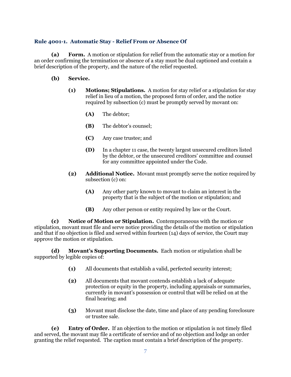#### <span id="page-10-0"></span>**Rule 4001-1. Automatic Stay - Relief From or Absence Of**

**(a) Form.** A motion or stipulation for relief from the automatic stay or a motion for an order confirming the termination or absence of a stay must be dual captioned and contain a brief description of the property, and the nature of the relief requested.

#### **(b) Service.**

- **(1) Motions; Stipulations.** A motion for stay relief or a stipulation for stay relief in lieu of a motion, the proposed form of order, and the notice required by subsection (c) must be promptly served by movant on:
	- **(A)** The debtor;
	- **(B)** The debtor's counsel;
	- **(C)** Any case trustee; and
	- **(D)** In a chapter 11 case, the twenty largest unsecured creditors listed by the debtor, or the unsecured creditors' committee and counsel for any committee appointed under the Code.
- **(2) Additional Notice.** Movant must promptly serve the notice required by subsection (c) on:
	- **(A)** Any other party known to movant to claim an interest in the property that is the subject of the motion or stipulation; and
	- **(B)** Any other person or entity required by law or the Court.

**(c) Notice of Motion or Stipulation.** Contemporaneous with the motion or stipulation, movant must file and serve notice providing the details of the motion or stipulation and that if no objection is filed and served within fourteen (14) days of service, the Court may approve the motion or stipulation.

**(d) Movant's Supporting Documents.** Each motion or stipulation shall be supported by legible copies of:

- **(1)** All documents that establish a valid, perfected security interest;
- **(2)** All documents that movant contends establish a lack of adequate protection or equity in the property, including appraisals or summaries, currently in movant's possession or control that will be relied on at the final hearing; and
- **(3)** Movant must disclose the date, time and place of any pending foreclosure or trustee sale.

**(e) Entry of Order.** If an objection to the motion or stipulation is not timely filed and served, the movant may file a certificate of service and of no objection and lodge an order granting the relief requested. The caption must contain a brief description of the property.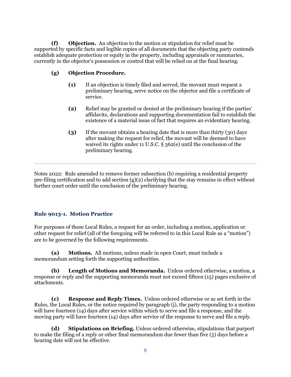**(f) Objection.** An objection to the motion or stipulation for relief must be supported by specific facts and legible copies of all documents that the objecting party contends establish adequate protection or equity in the property, including appraisals or summaries, currently in the objector's possession or control that will be relied on at the final hearing.

#### **(g) Objection Procedure.**

- **(1)** If an objection is timely filed and served, the movant must request a preliminary hearing, serve notice on the objector and file a certificate of service.
- **(2)** Relief may be granted or denied at the preliminary hearing if the parties' affidavits, declarations and supporting documentation fail to establish the existence of a material issue of fact that requires an evidentiary hearing.
- **(3)** If the movant obtains a hearing date that is more than thirty (30) days after making the request for relief, the movant will be deemed to have waived its rights under 11 U.S.C. § 362(e) until the conclusion of the preliminary hearing.

Notes 2022: Rule amended to remove former subsection (b) requiring a residential property pre-filing certification and to add section  $(g)(2)$  clarifying that the stay remains in effect without further court order until the conclusion of the preliminary hearing.

#### <span id="page-11-0"></span>**Rule 9013-1. Motion Practice**

For purposes of these Local Rules, a request for an order, including a motion, application or other request for relief (all of the foregoing will be referred to in this Local Rule as a "motion") are to be governed by the following requirements.

**(a) Motions.** All motions, unless made in open Court, must include a memorandum setting forth the supporting authorities.

**(b) Length of Motions and Memoranda.** Unless ordered otherwise, a motion, a response or reply and the supporting memoranda must not exceed fifteen (15) pages exclusive of attachments.

**(c) Response and Reply Times.** Unless ordered otherwise or as set forth in the Rules, the Local Rules, or the notice required by paragraph (j), the party responding to a motion will have fourteen (14) days after service within which to serve and file a response, and the moving party will have fourteen (14) days after service of the response to serve and file a reply.

**(d) Stipulations on Briefing.** Unless ordered otherwise, stipulations that purport to make the filing of a reply or other final memorandum due fewer than five (5) days before a hearing date will not be effective.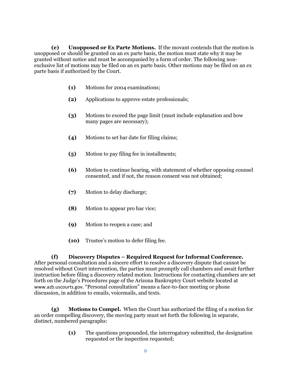**(e) Unopposed or Ex Parte Motions.** If the movant contends that the motion is unopposed or should be granted on an ex parte basis, the motion must state why it may be granted without notice and must be accompanied by a form of order. The following nonexclusive list of motions may be filed on an ex parte basis. Other motions may be filed on an ex parte basis if authorized by the Court.

- **(1)** Motions for 2004 examinations;
- **(2)** Applications to approve estate professionals;
- **(3)** Motions to exceed the page limit (must include explanation and how many pages are necessary);
- **(4)** Motions to set bar date for filing claims;
- **(5)** Motion to pay filing fee in installments;
- **(6)** Motion to continue hearing, with statement of whether opposing counsel consented, and if not, the reason consent was not obtained;
- **(7)** Motion to delay discharge;
- **(8)** Motion to appear pro hac vice;
- **(9)** Motion to reopen a case; and
- **(10)** Trustee's motion to defer filing fee.

**(f) Discovery Disputes – Required Request for Informal Conference.**  After personal consultation and a sincere effort to resolve a discovery dispute that cannot be resolved without Court intervention, the parties must promptly call chambers and await further instruction before filing a discovery related motion. Instructions for contacting chambers are set forth on the Judge's Procedures page of the Arizona Bankruptcy Court website located at [www.azb.uscourts.gov](http://www.azb.uscourts.gov/). "Personal consultation" means a face-to-face meeting or phone discussion, in addition to emails, voicemails, and texts.

**(g) Motions to Compel.** When the Court has authorized the filing of a motion for an order compelling discovery, the moving party must set forth the following in separate, distinct, numbered paragraphs:

> **(1)** The questions propounded, the interrogatory submitted, the designation requested or the inspection requested;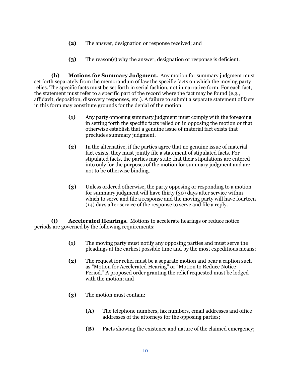- **(2)** The answer, designation or response received; and
- **(3)** The reason(s) why the answer, designation or response is deficient.

**(h) Motions for Summary Judgment.** Any motion for summary judgment must set forth separately from the memorandum of law the specific facts on which the moving party relies. The specific facts must be set forth in serial fashion, not in narrative form. For each fact, the statement must refer to a specific part of the record where the fact may be found (e.g., affidavit, deposition, discovery responses, etc.). A failure to submit a separate statement of facts in this form may constitute grounds for the denial of the motion.

- **(1)** Any party opposing summary judgment must comply with the foregoing in setting forth the specific facts relied on in opposing the motion or that otherwise establish that a genuine issue of material fact exists that precludes summary judgment.
- **(2)** In the alternative, if the parties agree that no genuine issue of material fact exists, they must jointly file a statement of stipulated facts. For stipulated facts, the parties may state that their stipulations are entered into only for the purposes of the motion for summary judgment and are not to be otherwise binding.
- **(3)** Unless ordered otherwise, the party opposing or responding to a motion for summary judgment will have thirty (30) days after service within which to serve and file a response and the moving party will have fourteen (14) days after service of the response to serve and file a reply.

**(i) Accelerated Hearings.** Motions to accelerate hearings or reduce notice periods are governed by the following requirements:

- **(1)** The moving party must notify any opposing parties and must serve the pleadings at the earliest possible time and by the most expeditious means;
- **(2)** The request for relief must be a separate motion and bear a caption such as "Motion for Accelerated Hearing" or "Motion to Reduce Notice Period." A proposed order granting the relief requested must be lodged with the motion; and
- **(3)** The motion must contain:
	- **(A)** The telephone numbers, fax numbers, email addresses and office addresses of the attorneys for the opposing parties;
	- **(B)** Facts showing the existence and nature of the claimed emergency;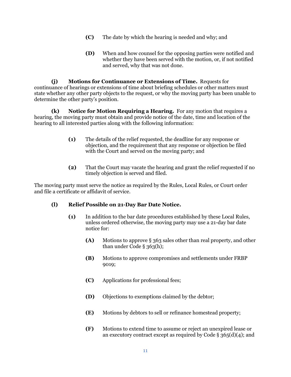- **(C)** The date by which the hearing is needed and why; and
- **(D)** When and how counsel for the opposing parties were notified and whether they have been served with the motion, or, if not notified and served, why that was not done.

**(j) Motions for Continuance or Extensions of Time.** Requests for continuance of hearings or extensions of time about briefing schedules or other matters must state whether any other party objects to the request, or why the moving party has been unable to determine the other party's position.

**(k) Notice for Motion Requiring a Hearing.** For any motion that requires a hearing, the moving party must obtain and provide notice of the date, time and location of the hearing to all interested parties along with the following information:

- **(1)** The details of the relief requested, the deadline for any response or objection, and the requirement that any response or objection be filed with the Court and served on the moving party; and
- **(2)** That the Court may vacate the hearing and grant the relief requested if no timely objection is served and filed.

The moving party must serve the notice as required by the Rules, Local Rules, or Court order and file a certificate or affidavit of service.

#### **(l) Relief Possible on 21-Day Bar Date Notice.**

- **(1)** In addition to the bar date procedures established by these Local Rules, unless ordered otherwise, the moving party may use a 21-day bar date notice for:
	- **(A)** Motions to approve § 363 sales other than real property, and other than under Code  $\S$  363(h);
	- **(B)** Motions to approve compromises and settlements under FRBP 9019;
	- **(C)** Applications for professional fees;
	- **(D)** Objections to exemptions claimed by the debtor;
	- **(E)** Motions by debtors to sell or refinance homestead property;
	- **(F)** Motions to extend time to assume or reject an unexpired lease or an executory contract except as required by Code  $\S 365(d)(4)$ ; and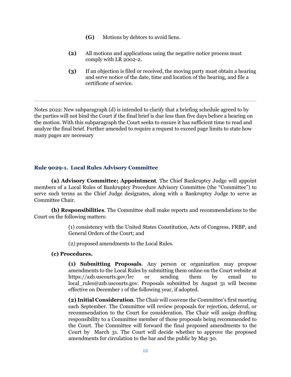- **(G)** Motions by debtors to avoid liens.
- **(2)** All motions and applications using the negative notice process must comply with LR 2002-2.
- **(3)** If an objection is filed or received, the moving party must obtain a hearing and serve notice of the date, time and location of the hearing, and file a certificate of service.

Notes 2022: New subparagraph (d) is intended to clarify that a briefing schedule agreed to by the parties will not bind the Court if the final brief is due less than five days before a hearing on the motion. With this subparagraph the Court seeks to ensure it has sufficient time to read and analyze the final brief. Further amended to require a request to exceed page limits to state how many pages are necessary

#### <span id="page-15-0"></span>**Rule 9029-1. Local Rules Advisory Committee**

**(a) Advisory Committee; Appointment**. The Chief Bankruptcy Judge will appoint members of a Local Rules of Bankruptcy Procedure Advisory Committee (the "Committee") to serve such terms as the Chief Judge designates, along with a Bankruptcy Judge to serve as Committee Chair.

**(b) Responsibilities**. The Committee shall make reports and recommendations to the Court on the following matters:

> (1) consistency with the United States Constitution, Acts of Congress, FRBP, and General Orders of the Court; and

(2) proposed amendments to the Local Rules.

#### **(c) Procedures.**

**(1) Submitting Proposals**. Any person or organization may propose amendments to the Local Rules by submitting them online on the Court website at https://azb.uscourts.gov/lrc or sending them by email to local\_rules@azb.uscourts.gov. Proposals submitted by August 31 will become effective on December 1 of the following year, if adopted.

**(2) Initial Consideration**. The Chair will convene the Committee's first meeting each September. The Committee will review proposals for rejection, deferral, or recommendation to the Court for consideration. The Chair will assign drafting responsibility to a Committee member of those proposals being recommended to the Court. The Committee will forward the final proposed amendments to the Court by March 31. The Court will decide whether to approve the proposed amendments for circulation to the bar and the public by May 30.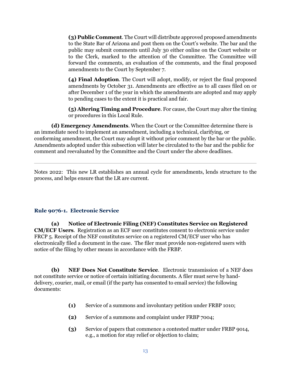**(3) Public Comment**. The Court will distribute approved proposed amendments to the State Bar of Arizona and post them on the Court's website. The bar and the public may submit comments until July 30 either online on the Court website or to the Clerk, marked to the attention of the Committee. The Committee will forward the comments, an evaluation of the comments, and the final proposed amendments to the Court by September 7.

**(4) Final Adoption**. The Court will adopt, modify, or reject the final proposed amendments by October 31. Amendments are effective as to all cases filed on or after December 1 of the year in which the amendments are adopted and may apply to pending cases to the extent it is practical and fair.

**(5) Altering Timing and Procedure**. For cause, the Court may alter the timing or procedures in this Local Rule.

**(d) Emergency Amendments**. When the Court or the Committee determine there is an immediate need to implement an amendment, including a technical, clarifying, or conforming amendment, the Court may adopt it without prior comment by the bar or the public. Amendments adopted under this subsection will later be circulated to the bar and the public for comment and reevaluated by the Committee and the Court under the above deadlines.

Notes 2022: This new LR establishes an annual cycle for amendments, lends structure to the process, and helps ensure that the LR are current.

#### <span id="page-16-0"></span>**Rule 9076-1. Electronic Service**

**(a) Notice of Electronic Filing (NEF) Constitutes Service on Registered CM/ECF Users**. Registration as an ECF user constitutes consent to electronic service under FRCP 5. Receipt of the NEF constitutes service on a registered CM/ECF user who has electronically filed a document in the case. The filer must provide non-registered users with notice of the filing by other means in accordance with the FRBP.

**(b) NEF Does Not Constitute Service**. Electronic transmission of a NEF does not constitute service or notice of certain initiating documents. A filer must serve by handdelivery, courier, mail, or email (if the party has consented to email service) the following documents:

- **(1)** Service of a summons and involuntary petition under FRBP 1010;
- **(2)** Service of a summons and complaint under FRBP 7004;
- **(3)** Service of papers that commence a contested matter under FRBP 9014, e.g., a motion for stay relief or objection to claim;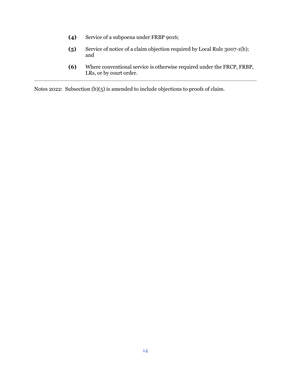- **(4)** Service of a subpoena under FRBP 9016;
- **(5)** Service of notice of a claim objection required by Local Rule 3007-1(b); and
- **(6)** Where conventional service is otherwise required under the FRCP, FRBP, LRs, or by court order.

Notes 2022: Subsection (b)(5) is amended to include objections to proofs of claim.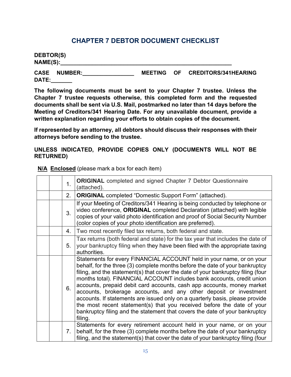## **CHAPTER 7 DEBTOR DOCUMENT CHECKLIST**

<span id="page-18-0"></span>**DEBTOR(S) NAME(S):\_\_\_\_\_\_\_\_\_\_\_\_\_\_\_\_\_\_\_\_\_\_\_\_\_\_\_\_\_\_\_\_\_\_\_\_\_\_\_\_\_\_\_\_\_\_\_\_\_\_\_\_\_\_**

**CASE NUMBER:\_\_\_\_\_\_\_\_\_\_\_\_\_\_\_\_\_ MEETING OF CREDITORS/341HEARING DATE:\_\_\_\_\_\_\_** 

**The following documents must be sent to your Chapter 7 trustee. Unless the Chapter 7 trustee requests otherwise, this completed form and the requested documents shall be sent via U.S. Mail, postmarked no later than 14 days before the Meeting of Creditors/341 Hearing Date. For any unavailable document, provide a written explanation regarding your efforts to obtain copies of the document.**

**If represented by an attorney, all debtors should discuss their responses with their attorneys before sending to the trustee.**

**UNLESS INDICATED, PROVIDE COPIES ONLY (DOCUMENTS WILL NOT BE RETURNED)**

|  | 1. | <b>ORIGINAL</b> completed and signed Chapter 7 Debtor Questionnaire<br>(attached).                                                                                                                                                                                                                                                                                                                                                                                                                                                                                                                                                                                                                                   |
|--|----|----------------------------------------------------------------------------------------------------------------------------------------------------------------------------------------------------------------------------------------------------------------------------------------------------------------------------------------------------------------------------------------------------------------------------------------------------------------------------------------------------------------------------------------------------------------------------------------------------------------------------------------------------------------------------------------------------------------------|
|  | 2. | <b>ORIGINAL</b> completed "Domestic Support Form" (attached).                                                                                                                                                                                                                                                                                                                                                                                                                                                                                                                                                                                                                                                        |
|  | 3. | If your Meeting of Creditors/341 Hearing is being conducted by telephone or<br>video conference, ORIGINAL completed Declaration (attached) with legible<br>copies of your valid photo identification and proof of Social Security Number<br>(color copies of your photo identification are preferred).                                                                                                                                                                                                                                                                                                                                                                                                               |
|  | 4. | Two most recently filed tax returns, both federal and state.                                                                                                                                                                                                                                                                                                                                                                                                                                                                                                                                                                                                                                                         |
|  | 5. | Tax returns (both federal and state) for the tax year that includes the date of<br>your bankruptcy filing when they have been filed with the appropriate taxing<br>authorities.                                                                                                                                                                                                                                                                                                                                                                                                                                                                                                                                      |
|  | 6. | Statements for every FINANCIAL ACCOUNT held in your name, or on your<br>behalf, for the three (3) complete months before the date of your bankruptcy<br>filing, and the statement(s) that cover the date of your bankruptcy filing (four<br>months total). FINANCIAL ACCOUNT includes bank accounts, credit union<br>accounts, prepaid debit card accounts, cash app accounts, money market<br>accounts, brokerage accounts, and any other deposit or investment<br>accounts. If statements are issued only on a quarterly basis, please provide<br>the most recent statement(s) that you received before the date of your<br>bankruptcy filing and the statement that covers the date of your bankruptcy<br>filing. |
|  | 7. | Statements for every retirement account held in your name, or on your<br>behalf, for the three (3) complete months before the date of your bankruptcy<br>filing, and the statement(s) that cover the date of your bankruptcy filing (four                                                                                                                                                                                                                                                                                                                                                                                                                                                                            |

**N/A Enclosed** (please mark a box for each item)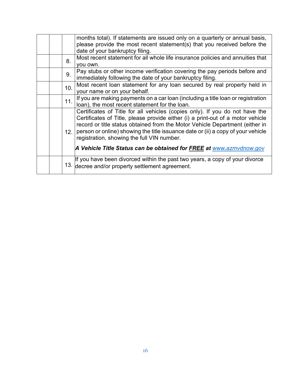|  |      | months total). If statements are issued only on a quarterly or annual basis,<br>please provide the most recent statement(s) that you received before the<br>date of your bankruptcy filing.                                                                                                                                                                                       |
|--|------|-----------------------------------------------------------------------------------------------------------------------------------------------------------------------------------------------------------------------------------------------------------------------------------------------------------------------------------------------------------------------------------|
|  | 8.   | Most recent statement for all whole life insurance policies and annuities that<br>you own.                                                                                                                                                                                                                                                                                        |
|  | 9.   | Pay stubs or other income verification covering the pay periods before and<br>immediately following the date of your bankruptcy filing.                                                                                                                                                                                                                                           |
|  | 10.  | Most recent loan statement for any loan secured by real property held in<br>your name or on your behalf.                                                                                                                                                                                                                                                                          |
|  | 11.  | If you are making payments on a car loan (including a title loan or registration<br>loan), the most recent statement for the loan.                                                                                                                                                                                                                                                |
|  | 12.1 | Certificates of Title for all vehicles (copies only). If you do not have the<br>Certificates of Title, please provide either (i) a print-out of a motor vehicle<br>record or title status obtained from the Motor Vehicle Department (either in<br>person or online) showing the title issuance date or (ii) a copy of your vehicle<br>registration, showing the full VIN number. |
|  |      | A Vehicle Title Status can be obtained for FREE at www.azmvdnow.gov                                                                                                                                                                                                                                                                                                               |
|  |      | If you have been divorced within the past two years, a copy of your divorce<br>13. decree and/or property settlement agreement.                                                                                                                                                                                                                                                   |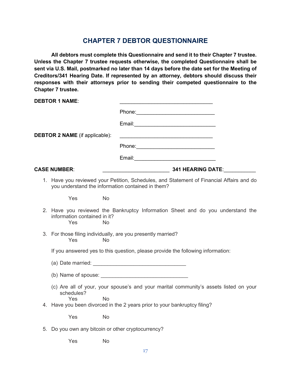## **CHAPTER 7 DEBTOR QUESTIONNAIRE**

<span id="page-20-0"></span>**All debtors must complete this Questionnaire and send it to their Chapter 7 trustee. Unless the Chapter 7 trustee requests otherwise, the completed Questionnaire shall be sent via U.S. Mail, postmarked no later than 14 days before the date set for the Meeting of Creditors/341 Hearing Date. If represented by an attorney, debtors should discuss their responses with their attorneys prior to sending their competed questionnaire to the Chapter 7 trustee.**

| <b>DEBTOR 1 NAME:</b>                 |                                                                                                                                               |
|---------------------------------------|-----------------------------------------------------------------------------------------------------------------------------------------------|
|                                       |                                                                                                                                               |
|                                       |                                                                                                                                               |
| <b>DEBTOR 2 NAME</b> (if applicable): | <u> 1989 - Johann Barbara, martin amerikan basar dan berasal dan berasal dalam basar dalam basar dalam basar dala</u>                         |
|                                       |                                                                                                                                               |
|                                       | Email: 2008. 2009. 2010. 2010. 2010. 2010. 2010. 2010. 2010. 2011. 2012. 2012. 2014. 2014. 2014. 2014. 2014. 20                               |
| <b>CASE NUMBER:</b>                   | <b>Maria 1999 - SAN HEARING DATE:</b> 241 HEARING DATE:                                                                                       |
|                                       | 1. Have you reviewed your Petition, Schedules, and Statement of Financial Affairs and do<br>you understand the information contained in them? |
| Yes                                   | No                                                                                                                                            |
| information contained in it?<br>Yes   | 2. Have you reviewed the Bankruptcy Information Sheet and do you understand the<br>No                                                         |
| Yes                                   | 3. For those filing individually, are you presently married?<br>No                                                                            |
|                                       | If you answered yes to this question, please provide the following information:                                                               |
|                                       |                                                                                                                                               |
|                                       |                                                                                                                                               |
| schedules?<br>Yes                     | (c) Are all of your, your spouse's and your marital community's assets listed on your<br>No                                                   |
|                                       | 4. Have you been divorced in the 2 years prior to your bankruptcy filing?                                                                     |
| Yes                                   | <b>No</b>                                                                                                                                     |
|                                       | 5. Do you own any bitcoin or other cryptocurrency?                                                                                            |
| Yes                                   | No.                                                                                                                                           |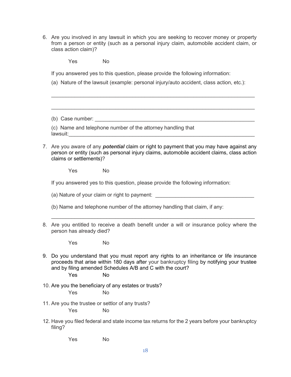6. Are you involved in any lawsuit in which you are seeking to recover money or property from a person or entity (such as a personal injury claim, automobile accident claim, or class action claim)?

Yes No

If you answered yes to this question, please provide the following information:

(a) Nature of the lawsuit (example: personal injury/auto accident, class action, etc.):

\_\_\_\_\_\_\_\_\_\_\_\_\_\_\_\_\_\_\_\_\_\_\_\_\_\_\_\_\_\_\_\_\_\_\_\_\_\_\_\_\_\_\_\_\_\_\_\_\_\_\_\_\_\_\_\_\_\_\_\_\_\_\_\_\_\_\_\_\_\_

(b) Case number:

(c) Name and telephone number of the attorney handling that lawsuit:

7. Are you aware of any *potential* claim or right to payment that you may have against any person or entity (such as personal injury claims, automobile accident claims, class action claims or settlements)?

Yes No

If you answered yes to this question, please provide the following information:

(a) Nature of your claim or right to payment: \_\_\_\_\_\_\_\_\_\_\_\_\_\_\_\_\_\_\_\_\_\_\_\_\_\_\_\_\_\_\_\_\_\_

- (b) Name and telephone number of the attorney handling that claim, if any:
- 8. Are you entitled to receive a death benefit under a will or insurance policy where the person has already died?

 $\_$  , and the set of the set of the set of the set of the set of the set of the set of the set of the set of the set of the set of the set of the set of the set of the set of the set of the set of the set of the set of th

Yes No

9. Do you understand that you must report any rights to an inheritance or life insurance proceeds that arise within 180 days after your bankruptcy filing by notifying your trustee and by filing amended Schedules A/B and C with the court?

Yes No

10. Are you the beneficiary of any estates or trusts?

Yes No

- 11. Are you the trustee or settlor of any trusts? Yes No
- 12. Have you filed federal and state income tax returns for the 2 years before your bankruptcy filing?

Yes No